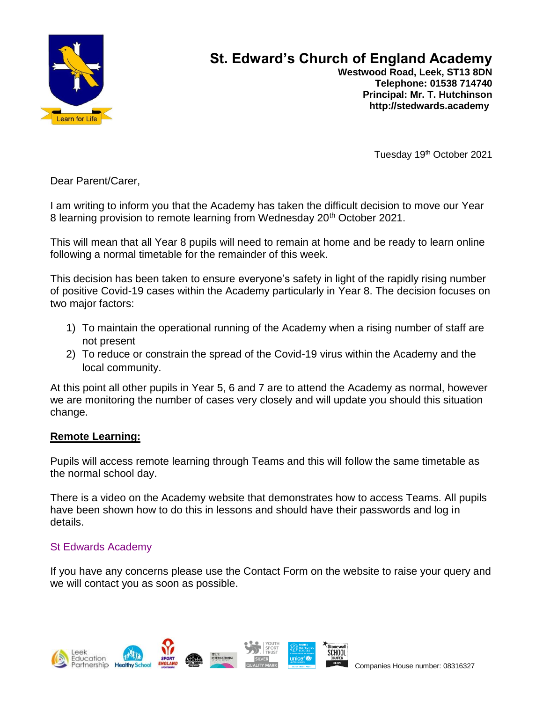

# **St. Edward's Church of England Academy**

 **Westwood Road, Leek, ST13 8DN Telephone: 01538 714740 Principal: Mr. T. Hutchinson http://stedwards.academy**

Tuesday 19<sup>th</sup> October 2021

Dear Parent/Carer,

I am writing to inform you that the Academy has taken the difficult decision to move our Year 8 learning provision to remote learning from Wednesday 20<sup>th</sup> October 2021.

This will mean that all Year 8 pupils will need to remain at home and be ready to learn online following a normal timetable for the remainder of this week.

This decision has been taken to ensure everyone's safety in light of the rapidly rising number of positive Covid-19 cases within the Academy particularly in Year 8. The decision focuses on two major factors:

- 1) To maintain the operational running of the Academy when a rising number of staff are not present
- 2) To reduce or constrain the spread of the Covid-19 virus within the Academy and the local community.

At this point all other pupils in Year 5, 6 and 7 are to attend the Academy as normal, however we are monitoring the number of cases very closely and will update you should this situation change.

# **Remote Learning:**

Pupils will access remote learning through Teams and this will follow the same timetable as the normal school day.

There is a video on the Academy website that demonstrates how to access Teams. All pupils have been shown how to do this in lessons and should have their passwords and log in details.

# [St Edwards Academy](https://www.stedwards.academy/pupils/study-links)

If you have any concerns please use the Contact Form on the website to raise your query and we will contact you as soon as possible.